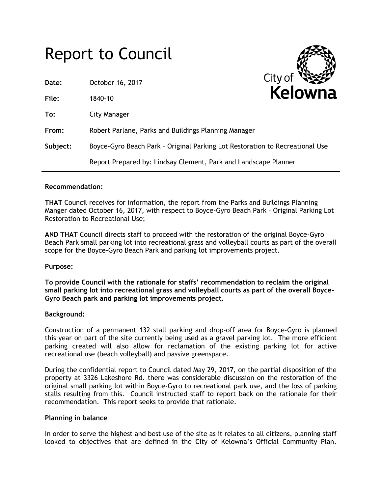# Report to Council

| Date:    | October 16, 2017                                                             | <b>CILY UI</b><br>W |
|----------|------------------------------------------------------------------------------|---------------------|
| File:    | 1840-10                                                                      | Kelowna             |
| To:      | City Manager                                                                 |                     |
| From:    | Robert Parlane, Parks and Buildings Planning Manager                         |                     |
| Subject: | Boyce-Gyro Beach Park - Original Parking Lot Restoration to Recreational Use |                     |
|          | Report Prepared by: Lindsay Clement, Park and Landscape Planner              |                     |

## **Recommendation:**

**THAT** Council receives for information, the report from the Parks and Buildings Planning Manger dated October 16, 2017, with respect to Boyce-Gyro Beach Park – Original Parking Lot Restoration to Recreational Use;

**AND THAT** Council directs staff to proceed with the restoration of the original Boyce-Gyro Beach Park small parking lot into recreational grass and volleyball courts as part of the overall scope for the Boyce-Gyro Beach Park and parking lot improvements project.

#### **Purpose:**

**To provide Council with the rationale for staffs' recommendation to reclaim the original small parking lot into recreational grass and volleyball courts as part of the overall Boyce-Gyro Beach park and parking lot improvements project.**

#### **Background:**

Construction of a permanent 132 stall parking and drop-off area for Boyce-Gyro is planned this year on part of the site currently being used as a gravel parking lot. The more efficient parking created will also allow for reclamation of the existing parking lot for active recreational use (beach volleyball) and passive greenspace.

During the confidential report to Council dated May 29, 2017, on the partial disposition of the property at 3326 Lakeshore Rd. there was considerable discussion on the restoration of the original small parking lot within Boyce-Gyro to recreational park use, and the loss of parking stalls resulting from this. Council instructed staff to report back on the rationale for their recommendation. This report seeks to provide that rationale.

#### **Planning in balance**

In order to serve the highest and best use of the site as it relates to all citizens, planning staff looked to objectives that are defined in the City of Kelowna's Official Community Plan.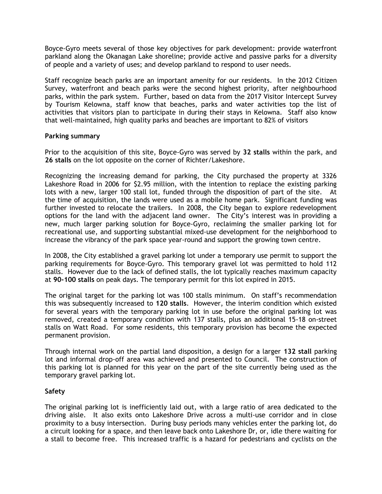Boyce-Gyro meets several of those key objectives for park development: provide waterfront parkland along the Okanagan Lake shoreline; provide active and passive parks for a diversity of people and a variety of uses; and develop parkland to respond to user needs.

Staff recognize beach parks are an important amenity for our residents. In the 2012 Citizen Survey, waterfront and beach parks were the second highest priority, after neighbourhood parks, within the park system. Further, based on data from the 2017 Visitor Intercept Survey by Tourism Kelowna, staff know that beaches, parks and water activities top the list of activities that visitors plan to participate in during their stays in Kelowna. Staff also know that well-maintained, high quality parks and beaches are important to 82% of visitors

## **Parking summary**

Prior to the acquisition of this site, Boyce-Gyro was served by **32 stalls** within the park, and **26 stalls** on the lot opposite on the corner of Richter/Lakeshore.

Recognizing the increasing demand for parking, the City purchased the property at 3326 Lakeshore Road in 2006 for \$2.95 million, with the intention to replace the existing parking lots with a new, larger 100 stall lot, funded through the disposition of part of the site. At the time of acquisition, the lands were used as a mobile home park. Significant funding was further invested to relocate the trailers. In 2008, the City began to explore redevelopment options for the land with the adjacent land owner. The City's interest was in providing a new, much larger parking solution for Boyce-Gyro, reclaiming the smaller parking lot for recreational use, and supporting substantial mixed-use development for the neighborhood to increase the vibrancy of the park space year-round and support the growing town centre.

In 2008, the City established a gravel parking lot under a temporary use permit to support the parking requirements for Boyce-Gyro. This temporary gravel lot was permitted to hold 112 stalls. However due to the lack of defined stalls, the lot typically reaches maximum capacity at **90-100 stalls** on peak days. The temporary permit for this lot expired in 2015.

The original target for the parking lot was 100 stalls minimum. On staff's recommendation this was subsequently increased to **120 stalls**. However, the interim condition which existed for several years with the temporary parking lot in use before the original parking lot was removed, created a temporary condition with 137 stalls, plus an additional 15-18 on-street stalls on Watt Road. For some residents, this temporary provision has become the expected permanent provision.

Through internal work on the partial land disposition, a design for a larger **132 stall** parking lot and informal drop-off area was achieved and presented to Council. The construction of this parking lot is planned for this year on the part of the site currently being used as the temporary gravel parking lot.

# **Safety**

The original parking lot is inefficiently laid out, with a large ratio of area dedicated to the driving aisle. It also exits onto Lakeshore Drive across a multi-use corridor and in close proximity to a busy intersection. During busy periods many vehicles enter the parking lot, do a circuit looking for a space, and then leave back onto Lakeshore Dr, or, idle there waiting for a stall to become free. This increased traffic is a hazard for pedestrians and cyclists on the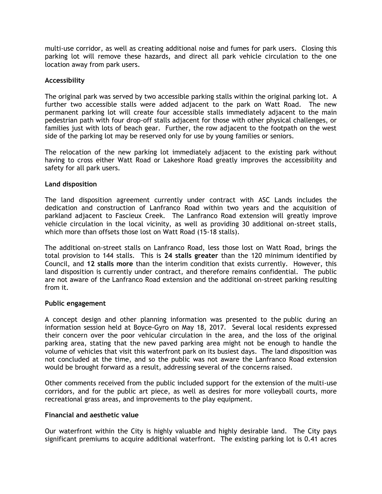multi-use corridor, as well as creating additional noise and fumes for park users. Closing this parking lot will remove these hazards, and direct all park vehicle circulation to the one location away from park users.

## **Accessibility**

The original park was served by two accessible parking stalls within the original parking lot. A further two accessible stalls were added adjacent to the park on Watt Road. The new permanent parking lot will create four accessible stalls immediately adjacent to the main pedestrian path with four drop-off stalls adjacent for those with other physical challenges, or families just with lots of beach gear. Further, the row adjacent to the footpath on the west side of the parking lot may be reserved only for use by young families or seniors.

The relocation of the new parking lot immediately adjacent to the existing park without having to cross either Watt Road or Lakeshore Road greatly improves the accessibility and safety for all park users.

## **Land disposition**

The land disposition agreement currently under contract with ASC Lands includes the dedication and construction of Lanfranco Road within two years and the acquisition of parkland adjacent to Fascieux Creek. The Lanfranco Road extension will greatly improve vehicle circulation in the local vicinity, as well as providing 30 additional on-street stalls, which more than offsets those lost on Watt Road (15-18 stalls).

The additional on-street stalls on Lanfranco Road, less those lost on Watt Road, brings the total provision to 144 stalls. This is **24 stalls greater** than the 120 minimum identified by Council, and **12 stalls more** than the interim condition that exists currently. However, this land disposition is currently under contract, and therefore remains confidential. The public are not aware of the Lanfranco Road extension and the additional on-street parking resulting from it.

#### **Public engagement**

A concept design and other planning information was presented to the public during an information session held at Boyce-Gyro on May 18, 2017. Several local residents expressed their concern over the poor vehicular circulation in the area, and the loss of the original parking area, stating that the new paved parking area might not be enough to handle the volume of vehicles that visit this waterfront park on its busiest days. The land disposition was not concluded at the time, and so the public was not aware the Lanfranco Road extension would be brought forward as a result, addressing several of the concerns raised.

Other comments received from the public included support for the extension of the multi-use corridors, and for the public art piece, as well as desires for more volleyball courts, more recreational grass areas, and improvements to the play equipment.

#### **Financial and aesthetic value**

Our waterfront within the City is highly valuable and highly desirable land. The City pays significant premiums to acquire additional waterfront. The existing parking lot is 0.41 acres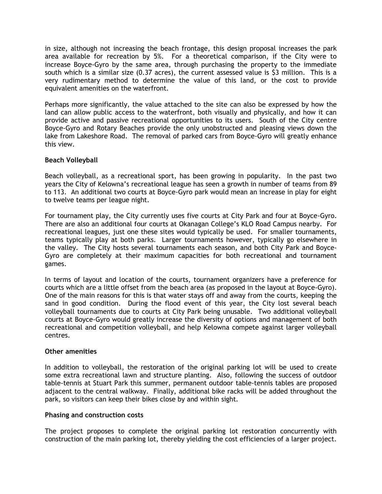in size, although not increasing the beach frontage, this design proposal increases the park area available for recreation by 5%. For a theoretical comparison, if the City were to increase Boyce-Gyro by the same area, through purchasing the property to the immediate south which is a similar size (0.37 acres), the current assessed value is \$3 million. This is a very rudimentary method to determine the value of this land, or the cost to provide equivalent amenities on the waterfront.

Perhaps more significantly, the value attached to the site can also be expressed by how the land can allow public access to the waterfront, both visually and physically, and how it can provide active and passive recreational opportunities to its users. South of the City centre Boyce-Gyro and Rotary Beaches provide the only unobstructed and pleasing views down the lake from Lakeshore Road. The removal of parked cars from Boyce-Gyro will greatly enhance this view.

# **Beach Volleyball**

Beach volleyball, as a recreational sport, has been growing in popularity. In the past two years the City of Kelowna's recreational league has seen a growth in number of teams from 89 to 113. An additional two courts at Boyce-Gyro park would mean an increase in play for eight to twelve teams per league night.

For tournament play, the City currently uses five courts at City Park and four at Boyce-Gyro. There are also an additional four courts at Okanagan College's KLO Road Campus nearby. For recreational leagues, just one these sites would typically be used. For smaller tournaments, teams typically play at both parks. Larger tournaments however, typically go elsewhere in the valley. The City hosts several tournaments each season, and both City Park and Boyce-Gyro are completely at their maximum capacities for both recreational and tournament games.

In terms of layout and location of the courts, tournament organizers have a preference for courts which are a little offset from the beach area (as proposed in the layout at Boyce-Gyro). One of the main reasons for this is that water stays off and away from the courts, keeping the sand in good condition. During the flood event of this year, the City lost several beach volleyball tournaments due to courts at City Park being unusable. Two additional volleyball courts at Boyce-Gyro would greatly increase the diversity of options and management of both recreational and competition volleyball, and help Kelowna compete against larger volleyball centres.

# **Other amenities**

In addition to volleyball, the restoration of the original parking lot will be used to create some extra recreational lawn and structure planting. Also, following the success of outdoor table-tennis at Stuart Park this summer, permanent outdoor table-tennis tables are proposed adjacent to the central walkway. Finally, additional bike racks will be added throughout the park, so visitors can keep their bikes close by and within sight.

# **Phasing and construction costs**

The project proposes to complete the original parking lot restoration concurrently with construction of the main parking lot, thereby yielding the cost efficiencies of a larger project.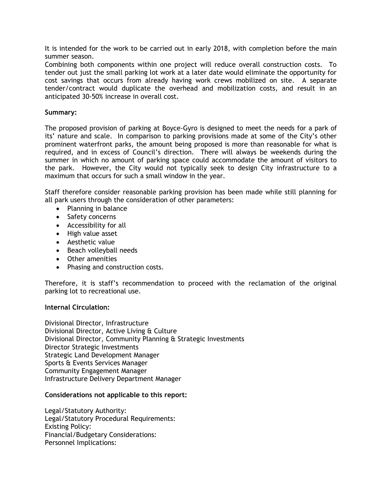It is intended for the work to be carried out in early 2018, with completion before the main summer season.

Combining both components within one project will reduce overall construction costs. To tender out just the small parking lot work at a later date would eliminate the opportunity for cost savings that occurs from already having work crews mobilized on site. A separate tender/contract would duplicate the overhead and mobilization costs, and result in an anticipated 30-50% increase in overall cost.

## **Summary:**

The proposed provision of parking at Boyce-Gyro is designed to meet the needs for a park of its' nature and scale. In comparison to parking provisions made at some of the City's other prominent waterfront parks, the amount being proposed is more than reasonable for what is required, and in excess of Council's direction. There will always be weekends during the summer in which no amount of parking space could accommodate the amount of visitors to the park. However, the City would not typically seek to design City infrastructure to a maximum that occurs for such a small window in the year.

Staff therefore consider reasonable parking provision has been made while still planning for all park users through the consideration of other parameters:

- Planning in balance
- Safety concerns
- Accessibility for all
- High value asset
- Aesthetic value
- Beach volleyball needs
- Other amenities
- Phasing and construction costs.

Therefore, it is staff's recommendation to proceed with the reclamation of the original parking lot to recreational use.

# **Internal Circulation:**

Divisional Director, Infrastructure Divisional Director, Active Living & Culture Divisional Director, Community Planning & Strategic Investments Director Strategic Investments Strategic Land Development Manager Sports & Events Services Manager Community Engagement Manager Infrastructure Delivery Department Manager

# **Considerations not applicable to this report:**

Legal/Statutory Authority: Legal/Statutory Procedural Requirements: Existing Policy: Financial/Budgetary Considerations: Personnel Implications: